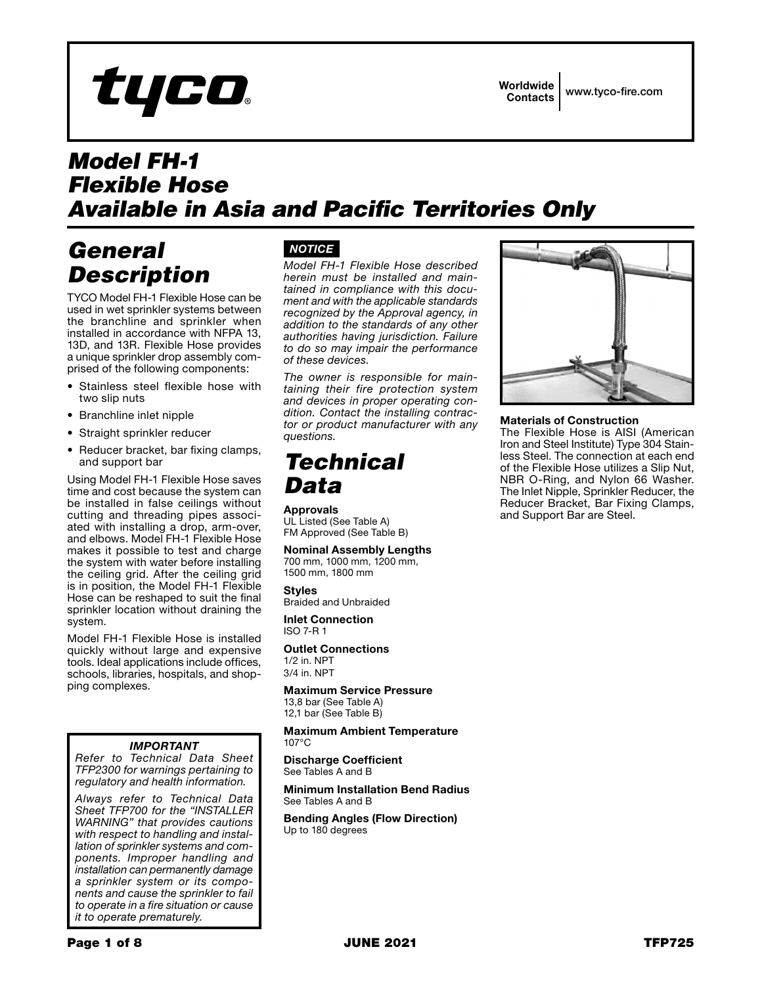# tyco

# *Model FH-1 Flexible Hose Available in Asia and Pacific Territories Only*

# *General Description*

TYCO Model FH-1 Flexible Hose can be used in wet sprinkler systems between the branchline and sprinkler when installed in accordance with NFPA 13, 13D, and 13R. Flexible Hose provides a unique sprinkler drop assembly comprised of the following components:

- Stainless steel flexible hose with two slip nuts
- Branchline inlet nipple
- Straight sprinkler reducer
- Reducer bracket, bar fixing clamps, and support bar

Using Model FH-1 Flexible Hose saves time and cost because the system can be installed in false ceilings without cutting and threading pipes associated with installing a drop, arm-over, and elbows. Model FH-1 Flexible Hose makes it possible to test and charge the system with water before installing the ceiling grid. After the ceiling grid is in position, the Model FH-1 Flexible Hose can be reshaped to suit the final sprinkler location without draining the system.

Model FH-1 Flexible Hose is installed quickly without large and expensive tools. Ideal applications include offices, schools, libraries, hospitals, and shopping complexes.

## *IMPORTANT*

*Refer to Technical Data Sheet TFP2300 for warnings pertaining to regulatory and health information.*

*Always refer to Technical Data Sheet TFP700 for the "INSTALLER WARNING" that provides cautions with respect to handling and installation of sprinkler systems and components. Improper handling and installation can permanently damage a sprinkler system or its components and cause the sprinkler to fail to operate in a fire situation or cause it to operate prematurely.*

# *NOTICE*

*Model FH-1 Flexible Hose described herein must be installed and maintained in compliance with this document and with the applicable standards recognized by the Approval agency, in addition to the standards of any other authorities having jurisdiction. Failure to do so may impair the performance of these devices.*

*The owner is responsible for maintaining their fire protection system and devices in proper operating condition. Contact the installing contractor or product manufacturer with any questions.*

# *Technical Data*

Approvals

UL Listed (See Table A) FM Approved (See Table B)

Nominal Assembly Lengths 700 mm, 1000 mm, 1200 mm,

1500 mm, 1800 mm

Styles Braided and Unbraided

Inlet Connection ISO 7-R 1

Outlet Connections

1/2 in. NPT 3/4 in. NPT

Maximum Service Pressure 13,8 bar (See Table A)

12,1 bar (See Table B)

Maximum Ambient Temperature 107°C

Discharge Coefficient See Tables A and B

Minimum Installation Bend Radius See Tables A and B

Bending Angles (Flow Direction) Up to 180 degrees



## Materials of Construction

The Flexible Hose is AISI (American Iron and Steel Institute) Type 304 Stainless Steel. The connection at each end of the Flexible Hose utilizes a Slip Nut, NBR O-Ring, and Nylon 66 Washer. The Inlet Nipple, Sprinkler Reducer, the Reducer Bracket, Bar Fixing Clamps, and Support Bar are Steel.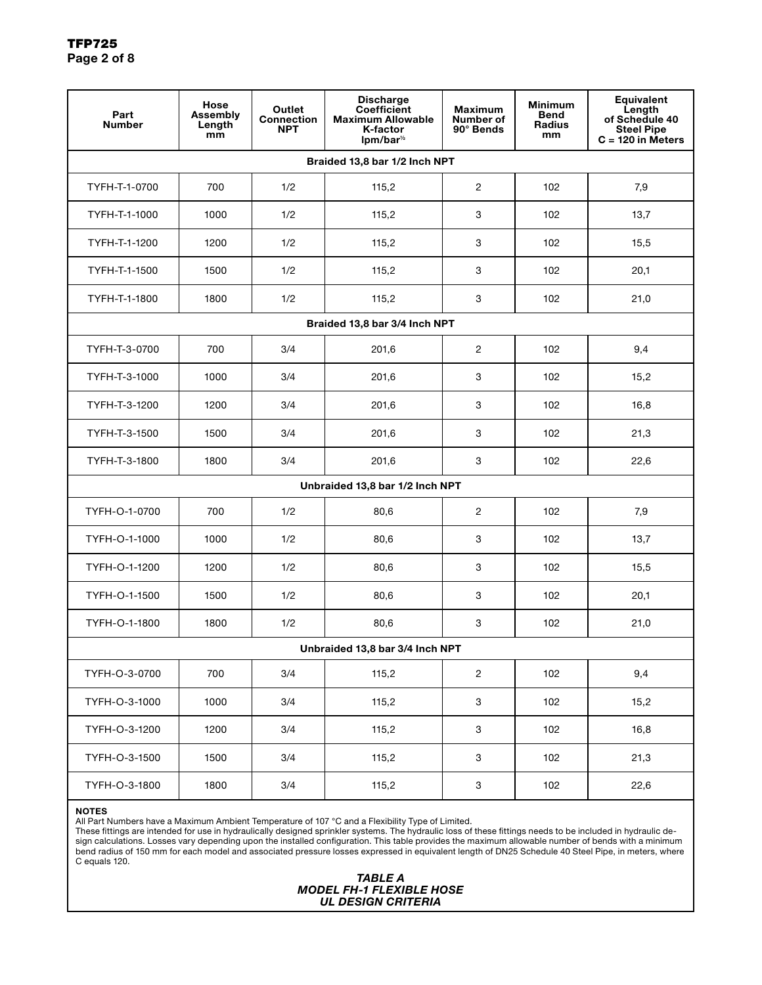| Part<br><b>Number</b>           | Hose<br>Assembly<br>Length<br>mm | Outlet<br><b>Connection</b><br><b>NPT</b> | <b>Discharge</b><br><b>Coefficient</b><br><b>Maximum Allowable</b><br><b>K-factor</b><br>$lpm/bar^{\frac{1}{2}}$ | <b>Maximum</b><br><b>Number of</b><br>90° Bends | <b>Minimum</b><br><b>Bend</b><br><b>Radius</b><br>mm | Equivalent<br>Length<br>of Schedule 40<br><b>Steel Pipe</b><br>$C = 120$ in Meters |  |  |  |
|---------------------------------|----------------------------------|-------------------------------------------|------------------------------------------------------------------------------------------------------------------|-------------------------------------------------|------------------------------------------------------|------------------------------------------------------------------------------------|--|--|--|
| Braided 13,8 bar 1/2 Inch NPT   |                                  |                                           |                                                                                                                  |                                                 |                                                      |                                                                                    |  |  |  |
| TYFH-T-1-0700                   | 700                              | 1/2                                       | 115,2                                                                                                            | $\overline{2}$                                  | 102                                                  | 7,9                                                                                |  |  |  |
| TYFH-T-1-1000                   | 1000                             | 1/2                                       | 115,2                                                                                                            | 3                                               | 102                                                  | 13,7                                                                               |  |  |  |
| TYFH-T-1-1200                   | 1200                             | 1/2                                       | 115,2                                                                                                            | 3                                               | 102                                                  | 15,5                                                                               |  |  |  |
| TYFH-T-1-1500                   | 1500                             | 1/2                                       | 115,2                                                                                                            | 3                                               | 102                                                  | 20,1                                                                               |  |  |  |
| TYFH-T-1-1800                   | 1800                             | 1/2                                       | 115,2                                                                                                            | 3                                               | 102                                                  | 21,0                                                                               |  |  |  |
| Braided 13,8 bar 3/4 Inch NPT   |                                  |                                           |                                                                                                                  |                                                 |                                                      |                                                                                    |  |  |  |
| TYFH-T-3-0700                   | 700                              | 3/4                                       | 201,6                                                                                                            | $\overline{2}$                                  | 102                                                  | 9,4                                                                                |  |  |  |
| TYFH-T-3-1000                   | 1000                             | 3/4                                       | 201,6                                                                                                            | 3                                               | 102                                                  | 15,2                                                                               |  |  |  |
| TYFH-T-3-1200                   | 1200                             | 3/4                                       | 201,6                                                                                                            | 3                                               | 102                                                  | 16,8                                                                               |  |  |  |
| TYFH-T-3-1500                   | 1500                             | 3/4                                       | 201,6                                                                                                            | 3                                               | 102                                                  | 21,3                                                                               |  |  |  |
| TYFH-T-3-1800                   | 1800                             | 3/4                                       | 201,6                                                                                                            | 3                                               | 102                                                  | 22,6                                                                               |  |  |  |
| Unbraided 13,8 bar 1/2 Inch NPT |                                  |                                           |                                                                                                                  |                                                 |                                                      |                                                                                    |  |  |  |
| TYFH-O-1-0700                   | 700                              | 1/2                                       | 80,6                                                                                                             | $\overline{2}$                                  | 102                                                  | 7,9                                                                                |  |  |  |
| TYFH-O-1-1000                   | 1000                             | 1/2                                       | 80,6                                                                                                             | 3                                               | 102                                                  | 13,7                                                                               |  |  |  |
| TYFH-O-1-1200                   | 1200                             | 1/2                                       | 80,6                                                                                                             | 3                                               | 102                                                  | 15,5                                                                               |  |  |  |
| TYFH-O-1-1500                   | 1500                             | 1/2                                       | 80,6                                                                                                             | 3                                               | 102                                                  | 20,1                                                                               |  |  |  |
| TYFH-O-1-1800                   | 1800                             | 1/2                                       | 80,6                                                                                                             | 3                                               | 102                                                  | 21,0                                                                               |  |  |  |
| Unbraided 13,8 bar 3/4 Inch NPT |                                  |                                           |                                                                                                                  |                                                 |                                                      |                                                                                    |  |  |  |
| TYFH-O-3-0700                   | 700                              | 3/4                                       | 115,2                                                                                                            | $\overline{c}$                                  | 102                                                  | 9,4                                                                                |  |  |  |
| TYFH-O-3-1000                   | 1000                             | 3/4                                       | 115,2                                                                                                            | $\ensuremath{\mathsf{3}}$                       | 102                                                  | 15,2                                                                               |  |  |  |
| TYFH-O-3-1200                   | 1200                             | 3/4                                       | 115,2                                                                                                            | $\mathbf 3$                                     | 102                                                  | 16,8                                                                               |  |  |  |
| TYFH-O-3-1500                   | 1500                             | 3/4                                       | 115,2                                                                                                            | $\mathbf 3$                                     | 102                                                  | 21,3                                                                               |  |  |  |
| TYFH-O-3-1800                   | 1800                             | 3/4                                       | 115,2                                                                                                            | 3                                               | 102                                                  | 22,6                                                                               |  |  |  |

#### NOTES

All Part Numbers have a Maximum Ambient Temperature of 107 °C and a Flexibility Type of Limited.

These fittings are intended for use in hydraulically designed sprinkler systems. The hydraulic loss of these fittings needs to be included in hydraulic design calculations. Losses vary depending upon the installed configuration. This table provides the maximum allowable number of bends with a minimum bend radius of 150 mm for each model and associated pressure losses expressed in equivalent length of DN25 Schedule 40 Steel Pipe, in meters, where C equals 120.

## *TABLE A MODEL FH-1 FLEXIBLE HOSE UL DESIGN CRITERIA*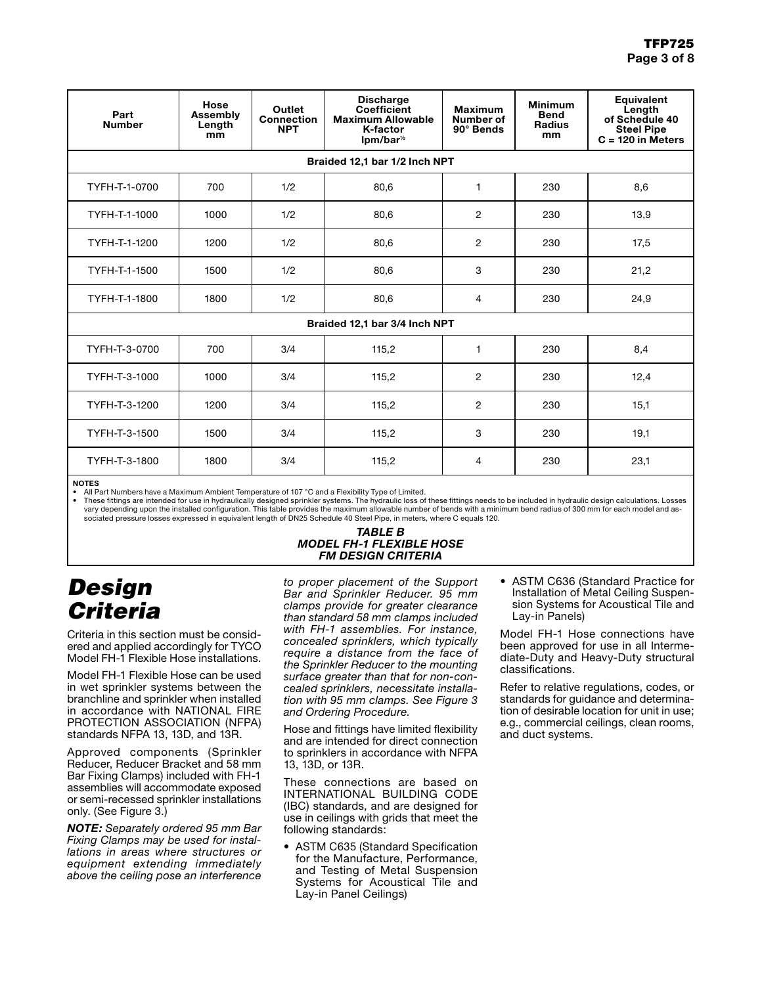| Part<br><b>Number</b>         | Hose<br><b>Assembly</b><br>Length<br>mm | Outlet<br><b>Connection</b><br><b>NPT</b> | <b>Discharge</b><br>Coefficient<br><b>Maximum Allowable</b><br>K-factor<br>$lpm/bar^{\frac{1}{2}}$ | <b>Maximum</b><br>Number of<br>90° Bends | <b>Minimum</b><br><b>Bend</b><br><b>Radius</b><br>mm | <b>Equivalent</b><br>Length<br>of Schedule 40<br><b>Steel Pipe</b><br>$C = 120$ in Meters |  |  |  |
|-------------------------------|-----------------------------------------|-------------------------------------------|----------------------------------------------------------------------------------------------------|------------------------------------------|------------------------------------------------------|-------------------------------------------------------------------------------------------|--|--|--|
| Braided 12,1 bar 1/2 Inch NPT |                                         |                                           |                                                                                                    |                                          |                                                      |                                                                                           |  |  |  |
| TYFH-T-1-0700                 | 700                                     | 1/2                                       | 80,6                                                                                               | 1                                        | 230                                                  | 8,6                                                                                       |  |  |  |
| TYFH-T-1-1000                 | 1000                                    | 1/2                                       | 80,6                                                                                               | $\overline{2}$                           | 230                                                  | 13,9                                                                                      |  |  |  |
| TYFH-T-1-1200                 | 1200                                    | 1/2                                       | 80,6                                                                                               | $\overline{2}$                           | 230                                                  | 17,5                                                                                      |  |  |  |
| TYFH-T-1-1500                 | 1500                                    | 1/2                                       | 80,6                                                                                               | 3                                        | 230                                                  | 21,2                                                                                      |  |  |  |
| TYFH-T-1-1800                 | 1800                                    | 1/2                                       | 80,6                                                                                               | 4                                        | 230                                                  | 24,9                                                                                      |  |  |  |
| Braided 12,1 bar 3/4 Inch NPT |                                         |                                           |                                                                                                    |                                          |                                                      |                                                                                           |  |  |  |
| TYFH-T-3-0700                 | 700                                     | 3/4                                       | 115,2                                                                                              | $\mathbf{1}$                             | 230                                                  | 8,4                                                                                       |  |  |  |
| TYFH-T-3-1000                 | 1000                                    | 3/4                                       | 115,2                                                                                              | $\overline{2}$                           | 230                                                  | 12,4                                                                                      |  |  |  |
| TYFH-T-3-1200                 | 1200                                    | 3/4                                       | 115,2                                                                                              | $\overline{2}$                           | 230                                                  | 15,1                                                                                      |  |  |  |
| TYFH-T-3-1500                 | 1500                                    | 3/4                                       | 115,2                                                                                              | 3                                        | 230                                                  | 19,1                                                                                      |  |  |  |
| TYFH-T-3-1800                 | 1800                                    | 3/4                                       | 115,2                                                                                              | 4                                        | 230                                                  | 23,1                                                                                      |  |  |  |

NOTES

• All Part Numbers have a Maximum Ambient Temperature of 107 °C and a Flexibility Type of Limited.

These fittings are intended for use in hydraulically designed sprinkler systems. The hydraulic loss of these fittings needs to be included in hydraulic design calculations. Losses<br>- vary depending upon the installed config sociated pressure losses expressed in equivalent length of DN25 Schedule 40 Steel Pipe, in meters, where C equals 120.

#### *TABLE B MODEL FH-1 FLEXIBLE HOSE FM DESIGN CRITERIA*

# *Design Criteria*

Criteria in this section must be considered and applied accordingly for TYCO Model FH-1 Flexible Hose installations.

Model FH-1 Flexible Hose can be used in wet sprinkler systems between the branchline and sprinkler when installed in accordance with NATIONAL FIRE PROTECTION ASSOCIATION (NFPA) standards NFPA 13, 13D, and 13R.

Approved components (Sprinkler Reducer, Reducer Bracket and 58 mm Bar Fixing Clamps) included with FH-1 assemblies will accommodate exposed or semi-recessed sprinkler installations only. (See Figure 3.)

*NOTE: Separately ordered 95 mm Bar Fixing Clamps may be used for installations in areas where structures or equipment extending immediately above the ceiling pose an interference* 

*to proper placement of the Support Bar and Sprinkler Reducer. 95 mm clamps provide for greater clearance than standard 58 mm clamps included with FH-1 assemblies. For instance, concealed sprinklers, which typically require a distance from the face of the Sprinkler Reducer to the mounting surface greater than that for non-concealed sprinklers, necessitate installation with 95 mm clamps. See Figure 3 and Ordering Procedure.*

Hose and fittings have limited flexibility and are intended for direct connection to sprinklers in accordance with NFPA 13, 13D, or 13R.

These connections are based on INTERNATIONAL BUILDING CODE (IBC) standards, and are designed for use in ceilings with grids that meet the following standards:

• ASTM C635 (Standard Specification for the Manufacture, Performance, and Testing of Metal Suspension Systems for Acoustical Tile and Lay-in Panel Ceilings)

• ASTM C636 (Standard Practice for Installation of Metal Ceiling Suspension Systems for Acoustical Tile and Lay-in Panels)

Model FH-1 Hose connections have been approved for use in all Intermediate-Duty and Heavy-Duty structural classifications.

Refer to relative regulations, codes, or standards for guidance and determination of desirable location for unit in use; e.g., commercial ceilings, clean rooms, and duct systems.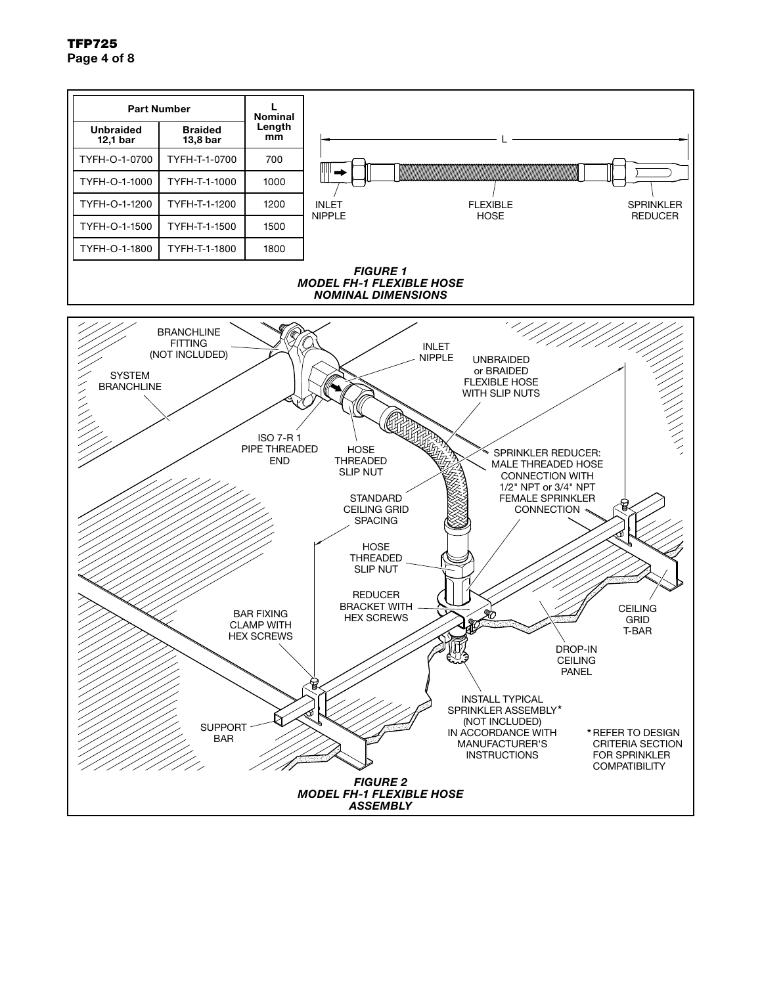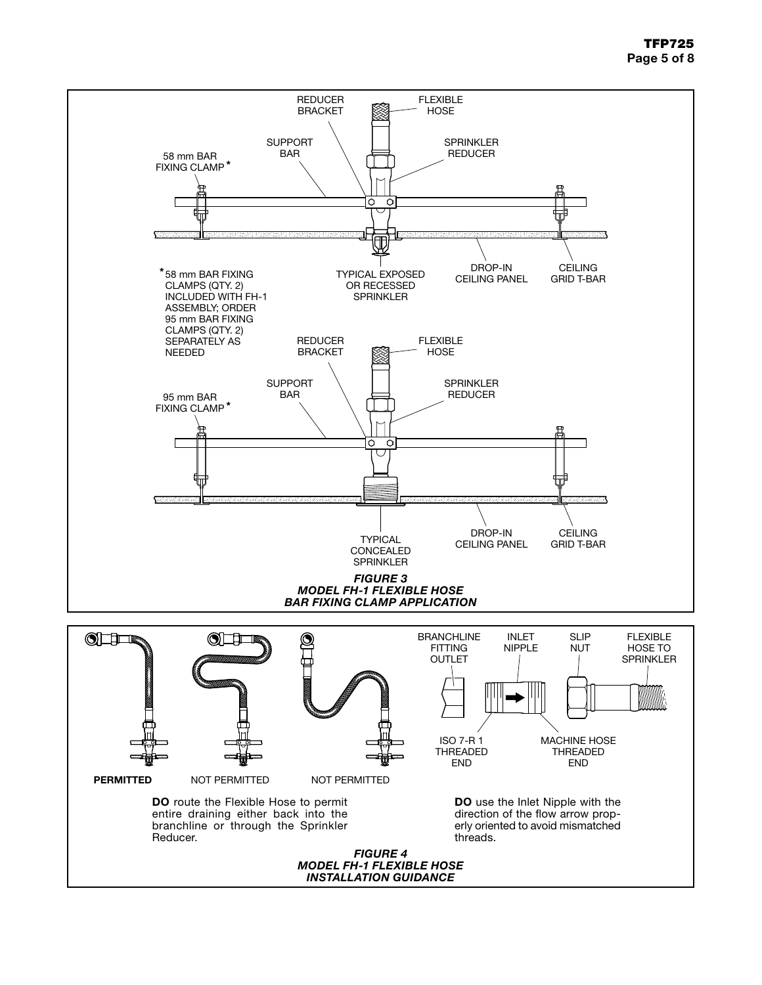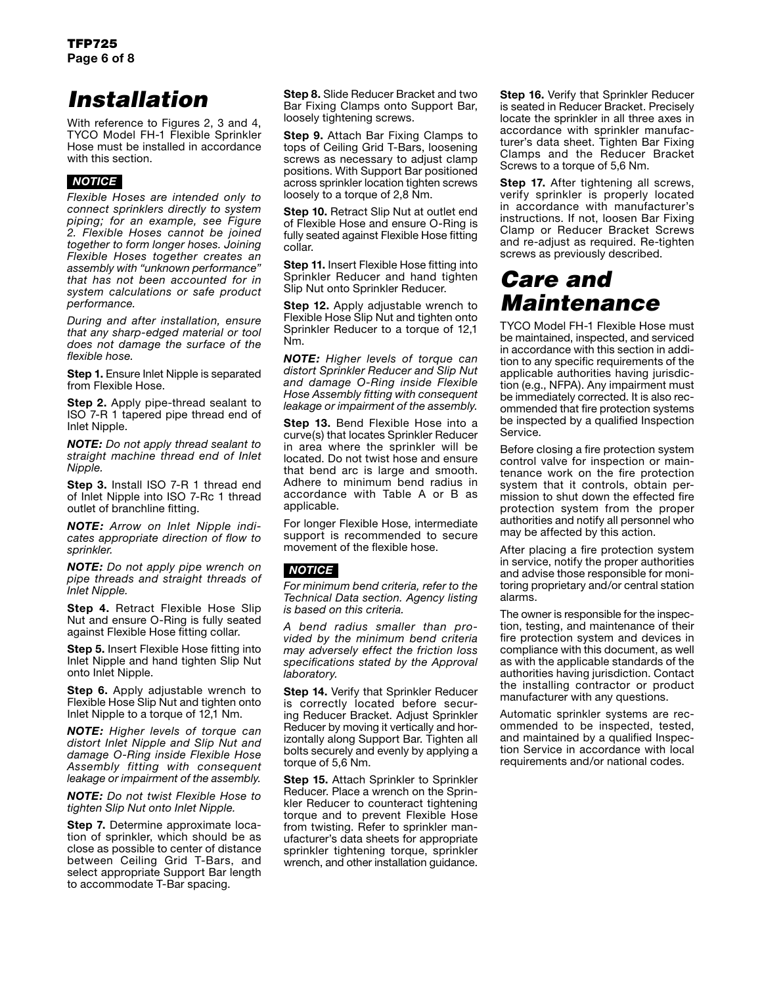# *Installation*

With reference to Figures 2, 3 and 4, TYCO Model FH-1 Flexible Sprinkler Hose must be installed in accordance with this section.

# *NOTICE*

*Flexible Hoses are intended only to connect sprinklers directly to system piping; for an example, see Figure 2. Flexible Hoses cannot be joined together to form longer hoses. Joining Flexible Hoses together creates an assembly with "unknown performance" that has not been accounted for in system calculations or safe product performance.*

*During and after installation, ensure that any sharp-edged material or tool does not damage the surface of the flexible hose.*

**Step 1.** Ensure Inlet Nipple is separated from Flexible Hose.

**Step 2.** Apply pipe-thread sealant to ISO 7-R 1 tapered pipe thread end of Inlet Nipple.

*NOTE: Do not apply thread sealant to straight machine thread end of Inlet Nipple.*

**Step 3.** Install ISO 7-R 1 thread end of Inlet Nipple into ISO 7-Rc 1 thread outlet of branchline fitting.

*NOTE: Arrow on Inlet Nipple indicates appropriate direction of flow to sprinkler.*

*NOTE: Do not apply pipe wrench on pipe threads and straight threads of Inlet Nipple.*

**Step 4.** Retract Flexible Hose Slip Nut and ensure O-Ring is fully seated against Flexible Hose fitting collar.

**Step 5.** Insert Flexible Hose fitting into Inlet Nipple and hand tighten Slip Nut onto Inlet Nipple.

**Step 6.** Apply adjustable wrench to Flexible Hose Slip Nut and tighten onto Inlet Nipple to a torque of 12,1 Nm.

*NOTE: Higher levels of torque can distort Inlet Nipple and Slip Nut and damage O-Ring inside Flexible Hose Assembly fitting with consequent leakage or impairment of the assembly.*

*NOTE: Do not twist Flexible Hose to tighten Slip Nut onto Inlet Nipple.*

**Step 7.** Determine approximate location of sprinkler, which should be as close as possible to center of distance between Ceiling Grid T-Bars, and select appropriate Support Bar length to accommodate T-Bar spacing.

**Step 8.** Slide Reducer Bracket and two Bar Fixing Clamps onto Support Bar, loosely tightening screws.

**Step 9.** Attach Bar Fixing Clamps to tops of Ceiling Grid T-Bars, loosening screws as necessary to adjust clamp positions. With Support Bar positioned across sprinkler location tighten screws loosely to a torque of 2,8 Nm.

**Step 10.** Retract Slip Nut at outlet end of Flexible Hose and ensure O-Ring is fully seated against Flexible Hose fitting collar.

**Step 11.** Insert Flexible Hose fitting into Sprinkler Reducer and hand tighten Slip Nut onto Sprinkler Reducer.

**Step 12.** Apply adjustable wrench to Flexible Hose Slip Nut and tighten onto Sprinkler Reducer to a torque of 12,1 Nm.

*NOTE: Higher levels of torque can distort Sprinkler Reducer and Slip Nut and damage O-Ring inside Flexible Hose Assembly fitting with consequent leakage or impairment of the assembly.*

**Step 13.** Bend Flexible Hose into a curve(s) that locates Sprinkler Reducer in area where the sprinkler will be located. Do not twist hose and ensure that bend arc is large and smooth. Adhere to minimum bend radius in accordance with Table A or B as applicable.

For longer Flexible Hose, intermediate support is recommended to secure movement of the flexible hose.

## *NOTICE*

*For minimum bend criteria, refer to the Technical Data section. Agency listing is based on this criteria.*

*A bend radius smaller than provided by the minimum bend criteria may adversely effect the friction loss specifications stated by the Approval laboratory.*

**Step 14.** Verify that Sprinkler Reducer is correctly located before securing Reducer Bracket. Adjust Sprinkler Reducer by moving it vertically and horizontally along Support Bar. Tighten all bolts securely and evenly by applying a torque of 5,6 Nm.

**Step 15.** Attach Sprinkler to Sprinkler Reducer. Place a wrench on the Sprinkler Reducer to counteract tightening torque and to prevent Flexible Hose from twisting. Refer to sprinkler manufacturer's data sheets for appropriate sprinkler tightening torque, sprinkler wrench, and other installation guidance.

**Step 16.** Verify that Sprinkler Reducer is seated in Reducer Bracket. Precisely locate the sprinkler in all three axes in accordance with sprinkler manufacturer's data sheet. Tighten Bar Fixing Clamps and the Reducer Bracket Screws to a torque of 5,6 Nm.

**Step 17.** After tightening all screws, verify sprinkler is properly located in accordance with manufacturer's instructions. If not, loosen Bar Fixing Clamp or Reducer Bracket Screws and re-adjust as required. Re-tighten screws as previously described.

# *Care and Maintenance*

TYCO Model FH-1 Flexible Hose must be maintained, inspected, and serviced in accordance with this section in addition to any specific requirements of the applicable authorities having jurisdiction (e.g., NFPA). Any impairment must be immediately corrected. It is also recommended that fire protection systems be inspected by a qualified Inspection Service.

Before closing a fire protection system control valve for inspection or maintenance work on the fire protection system that it controls, obtain permission to shut down the effected fire protection system from the proper authorities and notify all personnel who may be affected by this action.

After placing a fire protection system in service, notify the proper authorities and advise those responsible for monitoring proprietary and/or central station alarms.

The owner is responsible for the inspection, testing, and maintenance of their fire protection system and devices in compliance with this document, as well as with the applicable standards of the authorities having jurisdiction. Contact the installing contractor or product manufacturer with any questions.

Automatic sprinkler systems are recommended to be inspected, tested, and maintained by a qualified Inspection Service in accordance with local requirements and/or national codes.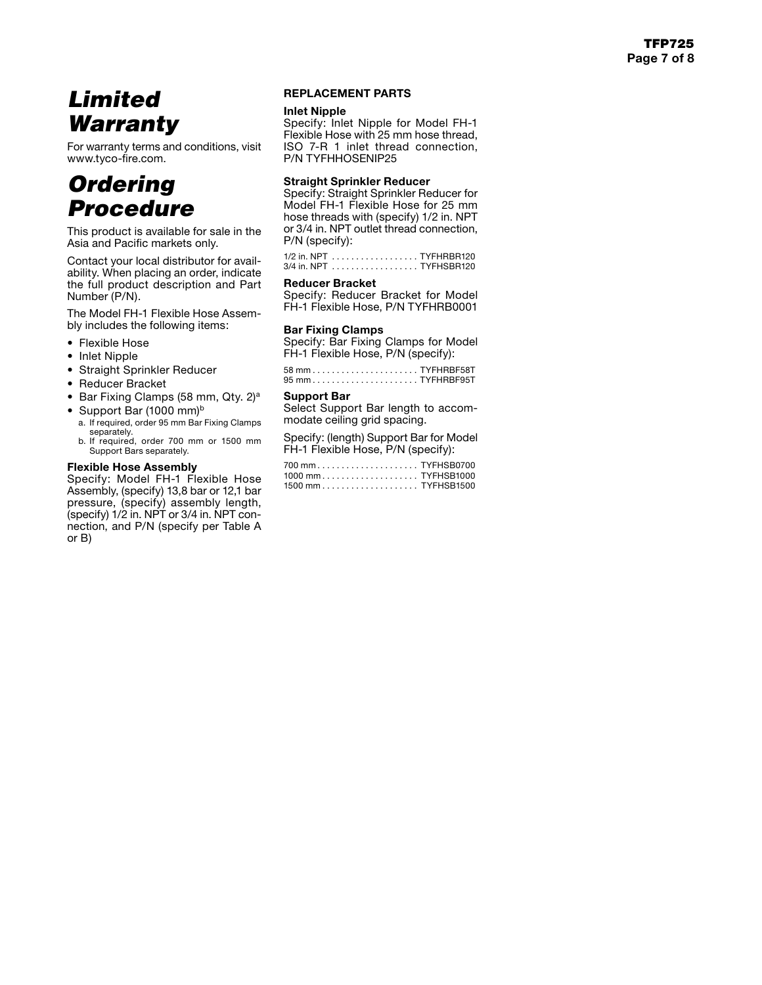# *Limited Warranty*

For warranty terms and conditions, visit www.tyco-fire.com.

# *Ordering Procedure*

This product is available for sale in the Asia and Pacific markets only.

Contact your local distributor for avail ability. When placing an order, indicate the full product description and Part Number (P/N).

The Model FH-1 Flexible Hose Assem bly includes the following items:

- Flexible Hose
- Inlet Nipple
- Straight Sprinkler Reducer
- Reducer Bracket
- Bar Fixing Clamps (58 mm, Qty. 2)<sup>a</sup>
- Support Bar (1000 mm)<sup>b</sup>
- a. If required, order 95 mm Bar Fixing Clamps separately. b. If required, order 700 mm or 1500 mm
- Support Bars separately.

## Flexible Hose Assembly

Specify: Model FH-1 Flexible Hose Assembly, (specify) 13,8 bar or 12,1 bar pressure, (specify) assembly length, (specify) 1/2 in. NPT or 3/4 in. NPT con nection, and P/N (specify per Table A or B)

## REPLACEMENT PARTS

#### Inlet Nipple

Specify: Inlet Nipple for Model FH-1 Flexible Hose with 25 mm hose thread, ISO 7-R 1 inlet thread connection, P/N TYFHHOSENIP25

## Straight Sprinkler Reducer

Specify: Straight Sprinkler Reducer for Model FH-1 Flexible Hose for 25 mm hose threads with (specify) 1/2 in. NPT or 3/4 in. NPT outlet thread connection, P/N (specify):

1/2 in. NPT. . . TYFHRBR120 3/4 in. NPT. . . TYFHSBR120

#### Reducer Bracket

Specify: Reducer Bracket for Model FH-1 Flexible Hose, P/N TYFHRB0001

## Bar Fixing Clamps

Specify: Bar Fixing Clamps for Model FH-1 Flexible Hose, P/N (specify):

58 mm. . . TYFHRBF58T 95 mm. . . TYFHRBF95T

## Support Bar

Select Support Bar length to accom modate ceiling grid spacing.

Specify: (length) Support Bar for Model FH-1 Flexible Hose, P/N (specify):

| 1000 mmTYFHSB1000 |  |
|-------------------|--|
|                   |  |